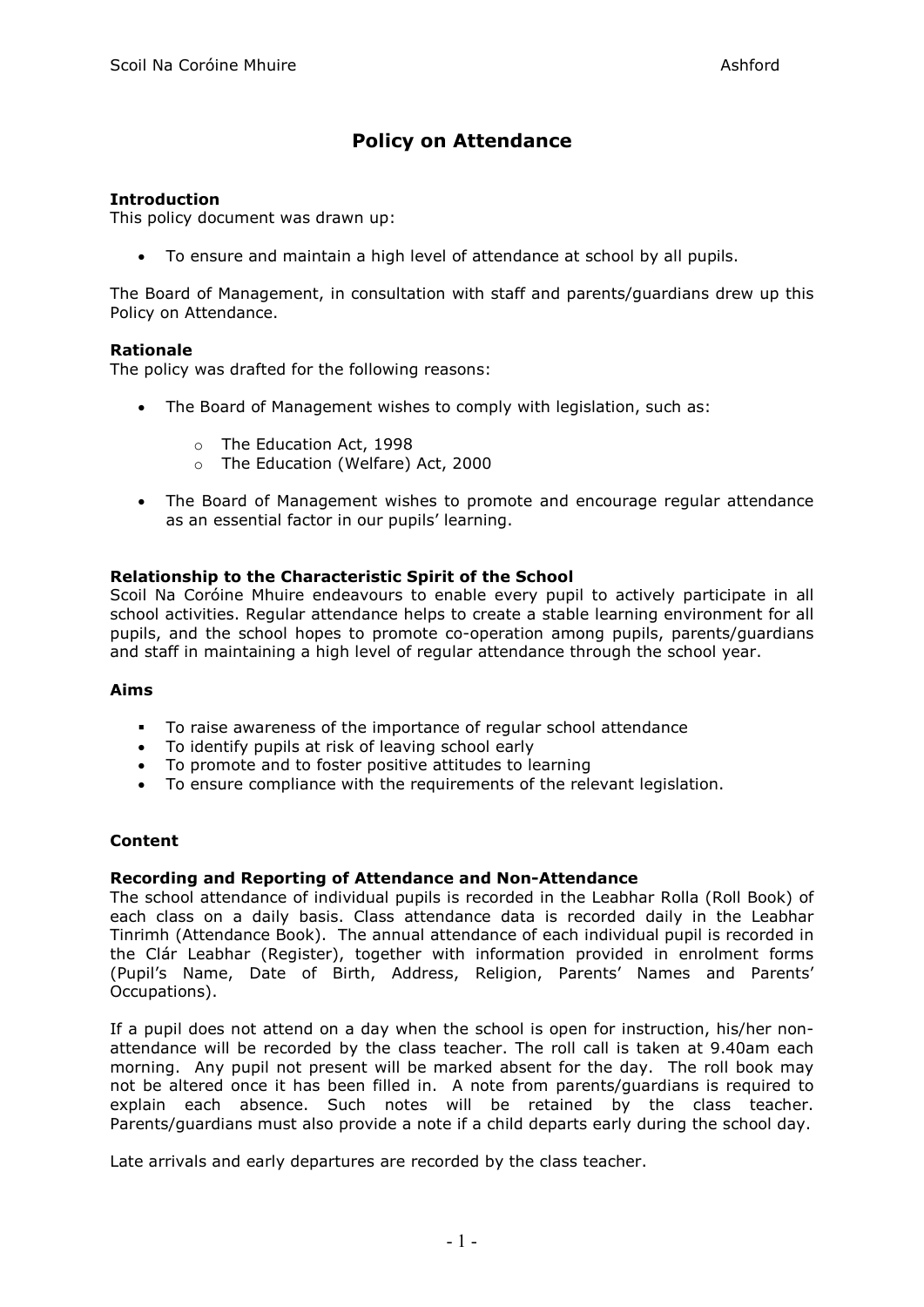# **Policy on Attendance**

## **Introduction**

This policy document was drawn up:

• To ensure and maintain a high level of attendance at school by all pupils.

The Board of Management, in consultation with staff and parents/guardians drew up this Policy on Attendance.

## **Rationale**

The policy was drafted for the following reasons:

- The Board of Management wishes to comply with legislation, such as:
	- o The Education Act, 1998
	- o The Education (Welfare) Act, 2000
- The Board of Management wishes to promote and encourage regular attendance as an essential factor in our pupils' learning.

# **Relationship to the Characteristic Spirit of the School**

Scoil Na Coróine Mhuire endeavours to enable every pupil to actively participate in all school activities. Regular attendance helps to create a stable learning environment for all pupils, and the school hopes to promote co-operation among pupils, parents/guardians and staff in maintaining a high level of regular attendance through the school year.

## **Aims**

- To raise awareness of the importance of regular school attendance
- To identify pupils at risk of leaving school early
- To promote and to foster positive attitudes to learning
- To ensure compliance with the requirements of the relevant legislation.

## **Content**

#### **Recording and Reporting of Attendance and Non-Attendance**

The school attendance of individual pupils is recorded in the Leabhar Rolla (Roll Book) of each class on a daily basis. Class attendance data is recorded daily in the Leabhar Tinrimh (Attendance Book). The annual attendance of each individual pupil is recorded in the Clár Leabhar (Register), together with information provided in enrolment forms (Pupil's Name, Date of Birth, Address, Religion, Parents' Names and Parents' Occupations).

If a pupil does not attend on a day when the school is open for instruction, his/her nonattendance will be recorded by the class teacher. The roll call is taken at 9.40am each morning. Any pupil not present will be marked absent for the day. The roll book may not be altered once it has been filled in. A note from parents/guardians is required to explain each absence. Such notes will be retained by the class teacher. Parents/guardians must also provide a note if a child departs early during the school day.

Late arrivals and early departures are recorded by the class teacher.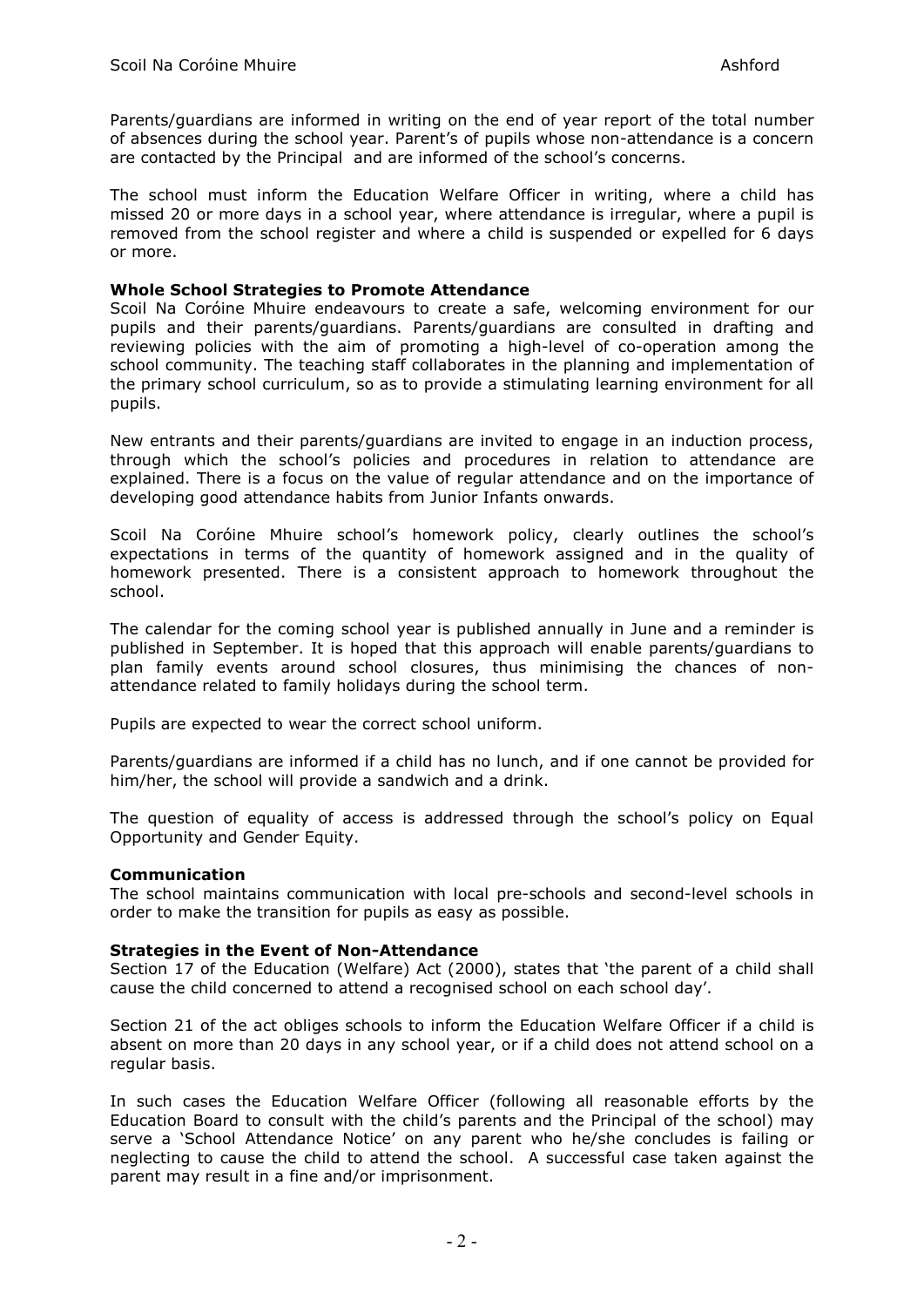Parents/guardians are informed in writing on the end of year report of the total number of absences during the school year. Parent's of pupils whose non-attendance is a concern are contacted by the Principal and are informed of the school's concerns.

The school must inform the Education Welfare Officer in writing, where a child has missed 20 or more days in a school year, where attendance is irregular, where a pupil is removed from the school register and where a child is suspended or expelled for 6 days or more.

#### **Whole School Strategies to Promote Attendance**

Scoil Na Coróine Mhuire endeavours to create a safe, welcoming environment for our pupils and their parents/guardians. Parents/guardians are consulted in drafting and reviewing policies with the aim of promoting a high-level of co-operation among the school community. The teaching staff collaborates in the planning and implementation of the primary school curriculum, so as to provide a stimulating learning environment for all pupils.

New entrants and their parents/guardians are invited to engage in an induction process, through which the school's policies and procedures in relation to attendance are explained. There is a focus on the value of regular attendance and on the importance of developing good attendance habits from Junior Infants onwards.

Scoil Na Coróine Mhuire school's homework policy, clearly outlines the school's expectations in terms of the quantity of homework assigned and in the quality of homework presented. There is a consistent approach to homework throughout the school.

The calendar for the coming school year is published annually in June and a reminder is published in September. It is hoped that this approach will enable parents/guardians to plan family events around school closures, thus minimising the chances of nonattendance related to family holidays during the school term.

Pupils are expected to wear the correct school uniform.

Parents/guardians are informed if a child has no lunch, and if one cannot be provided for him/her, the school will provide a sandwich and a drink.

The question of equality of access is addressed through the school's policy on Equal Opportunity and Gender Equity.

## **Communication**

The school maintains communication with local pre-schools and second-level schools in order to make the transition for pupils as easy as possible.

## **Strategies in the Event of Non-Attendance**

Section 17 of the Education (Welfare) Act (2000), states that 'the parent of a child shall cause the child concerned to attend a recognised school on each school day'.

Section 21 of the act obliges schools to inform the Education Welfare Officer if a child is absent on more than 20 days in any school year, or if a child does not attend school on a regular basis.

In such cases the Education Welfare Officer (following all reasonable efforts by the Education Board to consult with the child's parents and the Principal of the school) may serve a 'School Attendance Notice' on any parent who he/she concludes is failing or neglecting to cause the child to attend the school. A successful case taken against the parent may result in a fine and/or imprisonment.